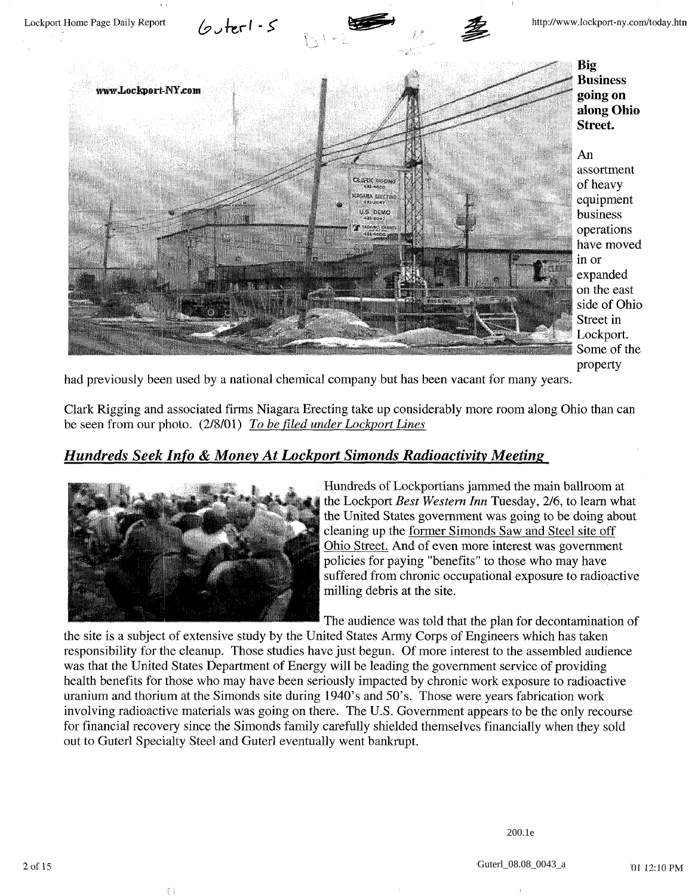

**Big Business going on along Ohio Street.**

An assortment of heavy equipment business operations have moved in or expanded on the east side of Ohio Street in Lockport. Some of the property

had previously been used by a national chemical company but has been vacant for many years.

Clark Rigging and associated firms Niagara Erecting take up considerably more room along Ohio than can be seen from our photo. (2/8/01) *To be filed under Lockport Lines*

## *Hundreds Seek Info & Money At Lockport Simonds Radioactivity Meeting*



 $\left\lceil \ \right\rceil$ 

Hundreds of Lockportians jammed the main ballroom at the Lockport *Best Western Inn* Tuesday, 2/6, to learn what the United States government was going to be doing about cleaning up the former Simonds Saw and Steel site off Ohio Street. And of even more interest was government policies for paying "benefits" to those who may have suffered from chronic occupational exposure to radioactive milling debris at the site.

The audience was told that the plan for decontamination of

the site is a subject of extensive study by the United States Army Corps of Engineers which has taken responsibility for the cleanup. Those studies have just begun. Of more interest to the assembled audience was that the United States Department of Energy will be leading the government service of providing health benefits for those who may have been seriously impacted by chronic work exposure to radioactive uranium and thorium at the Simonds site during 1940's and 50's. Those were years fabrication work involving radioactive materials was going on there. The U.S. Government appears to be the only recourse for financial recovery since the Simonds family carefully shielded themselves financially when they sold out to Guterl Specialty Steel and Guterl eventually went bankrupt.